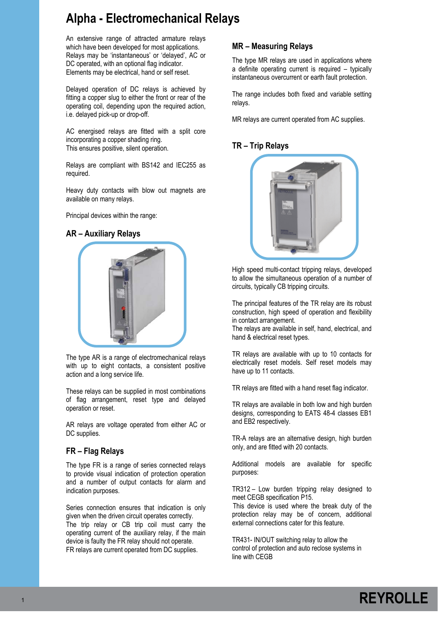# **Alpha - Electromechanical Relays**

An extensive range of attracted armature relays which have been developed for most applications. Relays may be 'instantaneous' or 'delayed', AC or DC operated, with an optional flag indicator. Elements may be electrical, hand or self reset.

Delayed operation of DC relays is achieved by fitting a copper slug to either the front or rear of the operating coil, depending upon the required action, i.e. delayed pick-up or drop-off.

AC energised relays are fitted with a split core incorporating a copper shading ring. This ensures positive, silent operation.

Relays are compliant with BS142 and IEC255 as required.

Heavy duty contacts with blow out magnets are available on many relays.

Principal devices within the range:

### **AR – Auxiliary Relays**



The type AR is a range of electromechanical relays with up to eight contacts, a consistent positive action and a long service life.

These relays can be supplied in most combinations of flag arrangement, reset type and delayed operation or reset.

AR relays are voltage operated from either AC or DC supplies.

# **FR – Flag Relays**

The type FR is a range of series connected relays to provide visual indication of protection operation and a number of output contacts for alarm and indication purposes.

Series connection ensures that indication is only given when the driven circuit operates correctly. The trip relay or CB trip coil must carry the operating current of the auxiliary relay, if the main device is faulty the FR relay should not operate. FR relays are current operated from DC supplies.

### **MR – Measuring Relays**

The type MR relays are used in applications where a definite operating current is required – typically instantaneous overcurrent or earth fault protection.

The range includes both fixed and variable setting relays.

MR relays are current operated from AC supplies.

# **TR – Trip Relays**



High speed multi-contact tripping relays, developed to allow the simultaneous operation of a number of circuits, typically CB tripping circuits.

The principal features of the TR relay are its robust construction, high speed of operation and flexibility in contact arrangement.

The relays are available in self, hand, electrical, and hand & electrical reset types.

TR relays are available with up to 10 contacts for electrically reset models. Self reset models may have up to 11 contacts.

TR relays are fitted with a hand reset flag indicator.

TR relays are available in both low and high burden designs, corresponding to EATS 48-4 classes EB1 and EB2 respectively.

TR-A relays are an alternative design, high burden only, and are fitted with 20 contacts.

Additional models are available for specific purposes:

TR312 – Low burden tripping relay designed to meet CEGB specification P15.

 This device is used where the break duty of the protection relay may be of concern, additional external connections cater for this feature.

TR431- IN/OUT switching relay to allow the control of protection and auto reclose systems in line with CEGB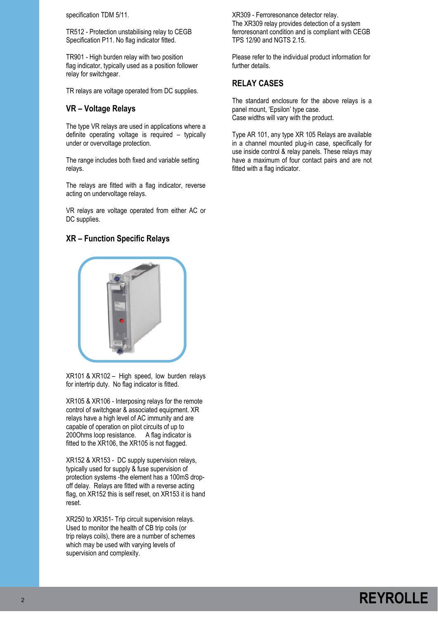specification TDM 5/11.

TR512 - Protection unstabilising relay to CEGB Specification P11. No flag indicator fitted.

TR901 - High burden relay with two position flag indicator, typically used as a position follower relay for switchgear.

TR relays are voltage operated from DC supplies.

### **VR – Voltage Relays**

The type VR relays are used in applications where a definite operating voltage is required – typically under or overvoltage protection.

The range includes both fixed and variable setting relays.

The relays are fitted with a flag indicator, reverse acting on undervoltage relays.

VR relays are voltage operated from either AC or DC supplies.

### **XR – Function Specific Relays**



XR101 & XR102 – High speed, low burden relays for intertrip duty. No flag indicator is fitted.

XR105 & XR106 - Interposing relays for the remote control of switchgear & associated equipment. XR relays have a high level of AC immunity and are capable of operation on pilot circuits of up to 200Ohms loop resistance. A flag indicator is fitted to the XR106, the XR105 is not flagged.

XR152 & XR153 - DC supply supervision relays, typically used for supply & fuse supervision of protection systems -the element has a 100mS dropoff delay. Relays are fitted with a reverse acting flag, on XR152 this is self reset, on XR153 it is hand reset.

XR250 to XR351- Trip circuit supervision relays. Used to monitor the health of CB trip coils (or trip relays coils), there are a number of schemes which may be used with varying levels of supervision and complexity.

XR309 - Ferroresonance detector relay. The XR309 relay provides detection of a system ferroresonant condition and is compliant with CEGB TPS 12/90 and NGTS 2.15.

Please refer to the individual product information for further details.

### **RELAY CASES**

The standard enclosure for the above relays is a panel mount, 'Epsilon' type case. Case widths will vary with the product.

Type AR 101, any type XR 105 Relays are available in a channel mounted plug-in case, specifically for use inside control & relay panels. These relays may have a maximum of four contact pairs and are not fitted with a flag indicator.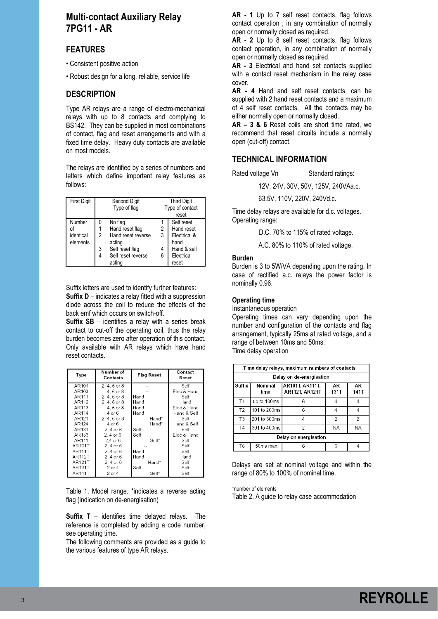# **Multi-contact Auxiliary Relay 7PG11 - AR**

# **FEATURES**

- Consistent positive action
- Robust design for a long, reliable, service life

### **DESCRIPTION**

Type AR relays are a range of electro-mechanical relays with up to 8 contacts and complying to BS142. They can be supplied in most combinations of contact, flag and reset arrangements and with a fixed time delay. Heavy duty contacts are available on most models.

The relays are identified by a series of numbers and letters which define important relay features as follows:

| <b>First Digit</b>              | Second Digit<br>Type of flag |                                                                                                               | <b>Third Digit</b><br>Type of contact<br>reset |                                                                                        |
|---------------------------------|------------------------------|---------------------------------------------------------------------------------------------------------------|------------------------------------------------|----------------------------------------------------------------------------------------|
| Number<br>identical<br>elements | 0<br>2<br>3<br>4             | No flag<br>Hand reset flag<br>Hand reset reverse<br>acting<br>Self reset flag<br>Self reset reverse<br>acting | 2<br>3<br>4<br>6                               | Self reset<br>Hand reset<br>Electrical &<br>hand<br>Hand & self<br>Electrical<br>reset |

Suffix letters are used to identify further features: **Suffix D** – indicates a relay fitted with a suppression diode across the coil to reduce the effects of the back emf which occurs on switch-off.

**Suffix SB** – identifies a relay with a series break contact to cut-off the operating coil, thus the relay burden becomes zero after operation of this contact. Only available with AR relays which have hand reset contacts.

| Type          | Number of<br>Contacts | Flag Reset | Contact<br>Reset |
|---------------|-----------------------|------------|------------------|
| AR101         | 2.4.6 or 8            |            | Self             |
| AR103         | 4.6 or 8              |            | Elec & Hand      |
| AR111         | 2.4.6 or 8            | Hand       | Self             |
| AR112         | 2.4.6 or 8            | Hand       | Hand             |
| AR113         | 4, 6 or 8             | Hand       | Elec & Hand      |
| AR114         | 4 or 6                | Hand       | Hand & Self      |
| AR121         | $2.4.6$ or $8$        | Hand*      | Self             |
| AR124         | 4 or 6                | Hand*      | Hand & Self      |
| AR131         | 2.4 or 6              | Self       | Self             |
| AR133         | 2. 4 or 6             | Self       | Elec & Hand      |
| AR141         | $2.4$ or $6$          | Self*      | Self             |
| AR101T        | 2.4 or 6              |            | Self             |
| <b>AR111T</b> | 2. 4 or 6             | Hand       | Self             |
| <b>AR112T</b> | 2.4 or 6              | Hand       | Hand             |
| <b>AR121T</b> | 2.4 or 6              | Hand*      | Self             |
| AR131T        | 2 or 4                | Self       | Self             |
| AR141T        | $2$ or $4$            | Self*      | Self             |

Table 1. Model range. \*indicates a reverse acting flag (indication on de-energisation)

**Suffix T** – identifies time delayed relays. The reference is completed by adding a code number, see operating time.

The following comments are provided as a guide to the various features of type AR relays.

**AR - 1** Up to 7 self reset contacts, flag follows contact operation , in any combination of normally open or normally closed as required.

**AR - 2** Up to 8 self reset contacts, flag follows contact operation, in any combination of normally open or normally closed as required.

**AR - 3** Electrical and hand set contacts supplied with a contact reset mechanism in the relay case cover.

**AR - 4** Hand and self reset contacts, can be supplied with 2 hand reset contacts and a maximum of 4 self reset contacts. All the contacts may be either normally open or normally closed.

**AR – 3 & 6** Reset coils are short time rated, we recommend that reset circuits include a normally open (cut-off) contact.

### **TECHNICAL INFORMATION**

Rated voltage Vn Standard ratings:

12V, 24V, 30V, 50V, 125V, 240VAa.c.

63.5V, 110V, 220V, 240Vd.c.

Time delay relays are available for d.c. voltages. Operating range:

D.C. 70% to 115% of rated voltage.

A.C. 80% to 110% of rated voltage.

### **Burden**

Burden is 3 to 5W/VA depending upon the rating. In case of rectified a.c. relays the power factor is nominally 0.96.

### **Operating time**

Instantaneous operation

Operating times can vary depending upon the number and configuration of the contacts and flag arrangement, typically 25ms at rated voltage, and a range of between 10ms and 50ms. Time delay operation

|                          | Time delay relays, maximum numbers of contacts                                          |   |   |                |  |  |  |
|--------------------------|-----------------------------------------------------------------------------------------|---|---|----------------|--|--|--|
|                          | Delay on de-energisation                                                                |   |   |                |  |  |  |
| Suffix                   | AR101T, AR111T,<br>AR<br>Nominal<br>AR<br><b>AR112T, AR121T</b><br>131T<br>141T<br>time |   |   |                |  |  |  |
| T <sub>1</sub>           | up to 100ms                                                                             | 6 |   |                |  |  |  |
| T <sub>2</sub>           | 101 to 200ms<br>6<br>Δ<br>4                                                             |   |   |                |  |  |  |
| T <sub>3</sub>           | 201 to 300ms                                                                            | 4 | 2 | $\overline{2}$ |  |  |  |
| T <sub>4</sub>           | 301 to 400ms<br>2<br>ΝA<br>ΝA                                                           |   |   |                |  |  |  |
| Delay on energisation    |                                                                                         |   |   |                |  |  |  |
| T6<br>6<br>50ms max<br>6 |                                                                                         |   |   |                |  |  |  |

Delays are set at nominal voltage and within the range of 80% to 100% of nominal time.

\*number of elements Table 2. A guide to relay case accommodation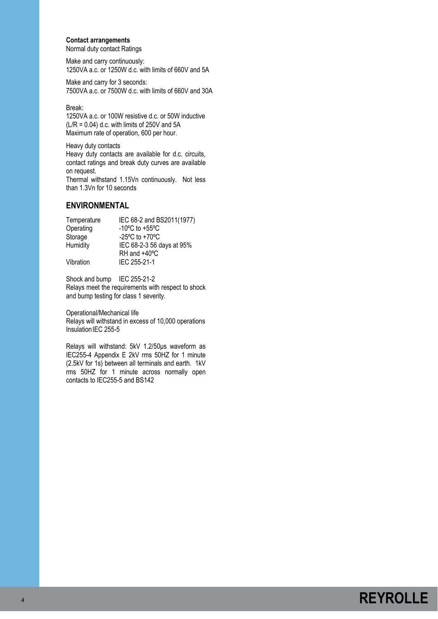### **Contact arrangements**

Normal duty contact Ratings

Make and carry continuously: 1250VA a.c. or 1250W d.c. with limits of 660V and 5A

Make and carry for 3 seconds: 7500VA a.c. or 7500W d.c. with limits of 660V and 30A

Break:

1250VA a.c. or 100W resistive d.c. or 50W inductive  $(L/R = 0.04)$  d.c. with limits of 250V and 5A Maximum rate of operation, 600 per hour.

Heavy duty contacts

Heavy duty contacts are available for d.c. circuits, contact ratings and break duty curves are available on request.

Thermal withstand 1.15Vn continuously. Not less than 1.3Vn for 10 seconds

# **ENVIRONMENTAL**

| Temperature | IEC 68-2 and BS2011(1977)                            |
|-------------|------------------------------------------------------|
| Operating   | -10 $\mathrm{^{\circ}C}$ to +55 $\mathrm{^{\circ}C}$ |
| Storage     | -25 $\mathrm{^{\circ}C}$ to +70 $\mathrm{^{\circ}C}$ |
| Humidity    | IEC 68-2-3 56 days at 95%                            |
|             | RH and +40°C                                         |
| Vibration   | IEC 255-21-1                                         |

Shock and bump IEC 255-21-2 Relays meet the requirements with respect to shock and bump testing for class 1 severity.

Operational/Mechanical life Relays will withstand in excess of 10,000 operations Insulation IEC 255-5

Relays will withstand: 5kV 1.2/50μs waveform as IEC255-4 Appendix E 2kV rms 50HZ for 1 minute (2.5kV for 1s) between all terminals and earth. 1kV rms 50HZ for 1 minute across normally open contacts to IEC255-5 and BS142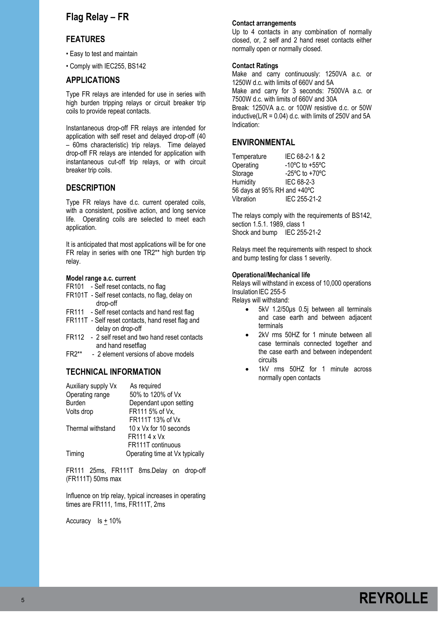# **Flag Relay – FR**

### **FEATURES**

- Easy to test and maintain
- Comply with IEC255, BS142

### **APPLICATIONS**

Type FR relays are intended for use in series with high burden tripping relays or circuit breaker trip coils to provide repeat contacts.

Instantaneous drop-off FR relays are intended for application with self reset and delayed drop-off (40 – 60ms characteristic) trip relays. Time delayed drop-off FR relays are intended for application with instantaneous cut-off trip relays, or with circuit breaker trip coils.

### **DESCRIPTION**

Type FR relays have d.c. current operated coils, with a consistent, positive action, and long service life. Operating coils are selected to meet each application.

It is anticipated that most applications will be for one FR relay in series with one TR2\*\* high burden trip relay.

#### **Model range a.c. current**

- FR101 Self reset contacts, no flag
- FR101T Self reset contacts, no flag, delay on drop-off
- FR111 Self reset contacts and hand rest flag
- FR111T Self reset contacts, hand reset flag and delay on drop-off
- FR112 2 self reset and two hand reset contacts and hand resetflag<br> $FR2***$  - 2 element versions
- 2 element versions of above models

### **TECHNICAL INFORMATION**

| Auxiliary supply Vx | As required                    |
|---------------------|--------------------------------|
| Operating range     | 50% to 120% of Vx              |
| <b>Burden</b>       | Dependant upon setting         |
| Volts drop          | FR111 5% of Vx,                |
|                     | FR111T 13% of Vx               |
| Thermal withstand   | 10 x Vx for 10 seconds         |
|                     | FR1114 x Vx                    |
|                     | FR111T continuous              |
| Timing              | Operating time at Vx typically |

FR111 25ms, FR111T 8ms.Delay on drop-off (FR111T) 50ms max

Influence on trip relay, typical increases in operating times are FR111, 1ms, FR111T, 2ms

Accuracy Is + 10%

#### **Contact arrangements**

Up to 4 contacts in any combination of normally closed, or, 2 self and 2 hand reset contacts either normally open or normally closed.

### **Contact Ratings**

Make and carry continuously: 1250VA a.c. or 1250W d.c. with limits of 660V and 5A

Make and carry for 3 seconds: 7500VA a.c. or 7500W d.c. with limits of 660V and 30A

Break: 1250VA a.c. or 100W resistive d.c. or 50W inductive( $L/R = 0.04$ ) d.c. with limits of 250V and 5A Indication:

### **ENVIRONMENTAL**

| Temperature                 | IEC 68-2-1 & 2                                       |
|-----------------------------|------------------------------------------------------|
| Operating                   | -10 $\mathrm{^{\circ}C}$ to +55 $\mathrm{^{\circ}C}$ |
| Storage                     | -25 $\mathrm{^{\circ}C}$ to +70 $\mathrm{^{\circ}C}$ |
| Humidity                    | IEC 68-2-3                                           |
| 56 days at 95% RH and +40°C |                                                      |
| Vibration                   | IEC 255-21-2                                         |

The relays comply with the requirements of BS142, section 1.5.1. 1989, class 1 Shock and bump IEC 255-21-2

Relays meet the requirements with respect to shock and bump testing for class 1 severity.

#### **Operational/Mechanical life**

Relays will withstand in excess of 10,000 operations Insulation IEC 255-5

Relays will withstand:

- 5kV 1.2/50μs 0.5j between all terminals and case earth and between adjacent terminals
- 2kV rms 50HZ for 1 minute between all case terminals connected together and the case earth and between independent circuits
- 1kV rms 50HZ for 1 minute across normally open contacts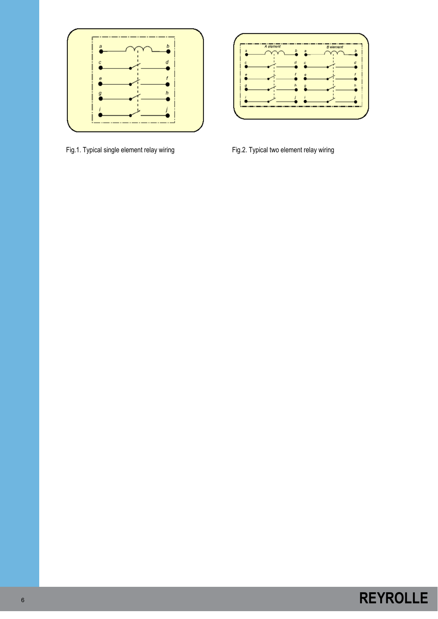

Fig.1. Typical single element relay wiring Fig.2. Typical two element relay wiring

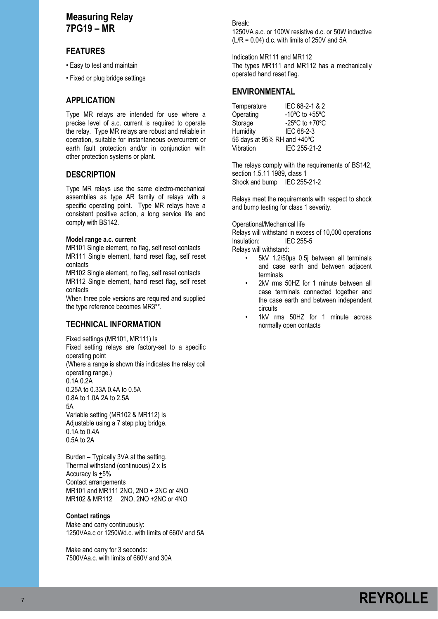# **Measuring Relay 7PG19 – MR**

# **FEATURES**

• Easy to test and maintain

• Fixed or plug bridge settings

# **APPLICATION**

Type MR relays are intended for use where a precise level of a.c. current is required to operate the relay. Type MR relays are robust and reliable in operation, suitable for instantaneous overcurrent or earth fault protection and/or in conjunction with other protection systems or plant.

# **DESCRIPTION**

Type MR relays use the same electro-mechanical assemblies as type AR family of relays with a specific operating point. Type MR relays have a consistent positive action, a long service life and comply with BS142.

### **Model range a.c. current**

MR101 Single element, no flag, self reset contacts MR111 Single element, hand reset flag, self reset contacts

MR102 Single element, no flag, self reset contacts MR112 Single element, hand reset flag, self reset contacts

When three pole versions are required and supplied the type reference becomes MR3\*\*.

# **TECHNICAL INFORMATION**

Fixed settings (MR101, MR111) Is Fixed setting relays are factory-set to a specific operating point (Where a range is shown this indicates the relay coil operating range.) 0.1A 0.2A 0.25A to 0.33A 0.4A to 0.5A 0.8A to 1.0A 2A to 2.5A 5A Variable setting (MR102 & MR112) Is Adjustable using a 7 step plug bridge. 0.1A to 0.4A 0.5A to 2A

Burden – Typically 3VA at the setting. Thermal withstand (continuous) 2 x Is Accuracy Is +5% Contact arrangements MR101 and MR111 2NO, 2NO + 2NC or 4NO MR102 & MR112 2NO, 2NO +2NC or 4NO

### **Contact ratings**

Make and carry continuously: 1250VAa.c or 1250Wd.c. with limits of 660V and 5A

Make and carry for 3 seconds: 7500VAa.c. with limits of 660V and 30A Break: 1250VA a.c. or 100W resistive d.c. or 50W inductive  $(L/R = 0.04)$  d.c. with limits of 250V and 5A

Indication MR111 and MR112 The types MR111 and MR112 has a mechanically operated hand reset flag.

### **ENVIRONMENTAL**

Temperature IEC 68-2-1 & 2<br>Operating 10°C to +55°C  $-10^{\circ}$ C to  $+55^{\circ}$ C Storage -25°C to +70°C Humidity IEC 68-2-3 56 days at 95% RH and +40ºC Vibration IEC 255-21-2

The relays comply with the requirements of BS142, section 1.5.11 1989, class 1 Shock and bump IEC 255-21-2

Relays meet the requirements with respect to shock and bump testing for class 1 severity.

Operational/Mechanical life

Relays will withstand in excess of 10,000 operations Insulation: IEC 255-5

Relays will withstand:

- 5kV 1.2/50μs 0.5j between all terminals and case earth and between adjacent terminals
- 2kV rms 50HZ for 1 minute between all case terminals connected together and the case earth and between independent circuits
- 1kV rms 50HZ for 1 minute across normally open contacts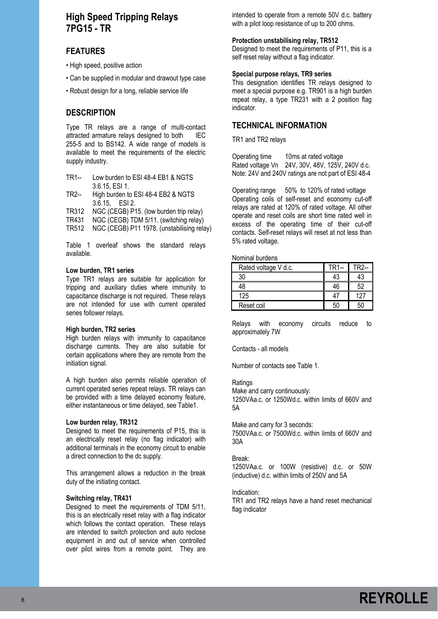# **High Speed Tripping Relays 7PG15 - TR**

# **FEATURES**

- High speed, positive action
- Can be supplied in modular and drawout type case
- Robust design for a long, reliable service life

## **DESCRIPTION**

Type TR relays are a range of multi-contact attracted armature relays designed to both IEC 255-5 and to BS142. A wide range of models is available to meet the requirements of the electric supply industry.

| TR1-- | Low burden to ESI 48-4 EB1 & NGTS  |
|-------|------------------------------------|
|       | 3.6.15, ESI 1.                     |
| TR2-- | High burden to ESI 48-4 EB2 & NGTS |
|       | $3.6.15$ , ESI 2.                  |

TR312 NGC (CEGB) P15. (low burden trip relay)

TR431 NGC (CEGB) TDM 5/11. (switching relay)

TR512 NGC (CEGB) P11 1978. (unstabilising relay)

Table 1 overleaf shows the standard relays available.

#### **Low burden, TR1 series**

Type TR1 relays are suitable for application for tripping and auxiliary duties where immunity to capacitance discharge is not required. These relays are not intended for use with current operated series follower relays.

### **High burden, TR2 series**

High burden relays with immunity to capacitance discharge currents. They are also suitable for certain applications where they are remote from the initiation signal.

A high burden also permits reliable operation of current operated series repeat relays. TR relays can be provided with a time delayed economy feature, either instantaneous or time delayed, see Table1.

### **Low burden relay, TR312**

Designed to meet the requirements of P15, this is an electrically reset relay (no flag indicator) with additional terminals in the economy circuit to enable a direct connection to the dc supply.

This arrangement allows a reduction in the break duty of the initiating contact.

### **Switching relay, TR431**

Designed to meet the requirements of TDM 5/11, this is an electrically reset relay with a flag indicator which follows the contact operation. These relays are intended to switch protection and auto reclose equipment in and out of service when controlled over pilot wires from a remote point. They are

intended to operate from a remote 50V d.c. battery with a pilot loop resistance of up to 200 ohms.

### **Protection unstabilising relay, TR512**

Designed to meet the requirements of P11, this is a self reset relay without a flag indicator.

#### **Special purpose relays, TR9 series**

This designation identifies TR relays designed to meet a special purpose e.g. TR901 is a high burden repeat relay, a type TR231 with a 2 position flag indicator.

### **TECHNICAL INFORMATION**

TR1 and TR2 relays

Operating time 10ms at rated voltage Rated voltage Vn 24V, 30V, 48V, 125V, 240V d.c. Note: 24V and 240V ratings are not part of ESI 48-4

Operating range 50% to 120% of rated voltage Operating coils of self-reset and economy cut-off relays are rated at 120% of rated voltage. All other operate and reset coils are short time rated well in excess of the operating time of their cut-off contacts. Self-reset relays will reset at not less than 5% rated voltage.

Nominal burdens

| Rated voltage V d.c. | TR1-- | $TR2-$ |
|----------------------|-------|--------|
| 30                   | 43    | 13     |
|                      | 46    | 52     |
| 125                  |       | 127    |
| Reset coil           |       |        |

Relays with economy circuits reduce to approximately 7W

Contacts - all models

Number of contacts see Table 1.

### Ratings

Make and carry continuously: 1250VAa.c. or 1250Wd.c. within limits of 660V and 5A

Make and carry for 3 seconds:

7500VAa.c. or 7500Wd.c. within limits of 660V and 30A

#### Break:

1250VAa.c. or 100W (resistive) d.c. or 50W (inductive) d.c. within limits of 250V and 5A

Indication:

TR1 and TR2 relays have a hand reset mechanical flag indicator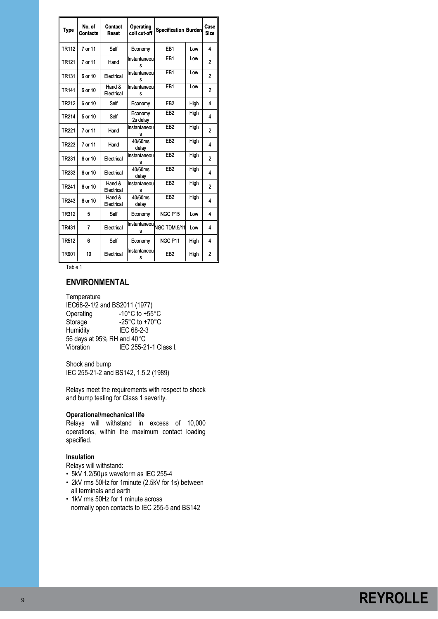| Type              | No. of<br><b>Contacts</b> | Contact<br>Reset     | Operating<br>coil cut-off | Specification Burden      |      | Case<br><b>Size</b> |
|-------------------|---------------------------|----------------------|---------------------------|---------------------------|------|---------------------|
| <b>TR112</b>      | 7 or 11                   | Self                 | Economy                   | EB <sub>1</sub>           | l ow | 4                   |
| TR <sub>121</sub> | 7 or 11                   | Hand                 | Instantaneou<br>s         | EB <sub>1</sub>           | Low  | 2                   |
| TR <sub>131</sub> | 6 or 10                   | Electrical           | Instantaneou<br>s         | EB <sub>1</sub>           | Low  | $\overline{2}$      |
| TR141             | 6 or 10                   | Hand &<br>Electrical | Instantaneou<br>s         | EB <sub>1</sub>           | Low  | $\overline{c}$      |
| TR212             | 6 or 10                   | Self                 | Economy                   | EB <sub>2</sub>           | High | 4                   |
| TR214             | 5 or 10                   | Self                 | Economy<br>2s delay       | EB <sub>2</sub>           | High | 4                   |
| TR221             | 7 or 11                   | Hand                 | Instantaneou<br>Ś         | EB2                       | High | $\overline{2}$      |
| TR223             | 7 or 11                   | Hand                 | 40/60ms<br>delay          | EB2                       | High | 4                   |
| TR <sub>231</sub> | 6 or 10                   | Electrical           | Instantaneou<br>s         | EB2                       | High | $\overline{2}$      |
| TR233             | 6 or 10                   | Electrical           | 40/60ms<br>delay          | EB2                       | High | 4                   |
| TR241             | 6 or 10                   | Hand &<br>Electrical | Instantaneou<br>s         | EB <sub>2</sub>           | High | $\overline{2}$      |
| TR243             | 6 or 10                   | Hand &<br>Electrical | 40/60ms<br>delay          | EB <sub>2</sub>           | High | 4                   |
| <b>TR312</b>      | 5                         | Self                 | Economy                   | NGC P15                   | Low  | 4                   |
| TR431             | $\overline{7}$            | Electrical           | s                         | Instantaneou NGC TDM.5/11 | Low  | 4                   |
| <b>TR512</b>      | 6                         | Self                 | Economy                   | NGC P11                   | High | 4                   |
| <b>TR901</b>      | 10                        | Electrical           | Instantaneou<br>s         | EB <sub>2</sub>           | High | $\overline{c}$      |

Table 1

### **ENVIRONMENTAL**

**Temperature** IEC68-2-1/2 and BS2011 (1977)<br>Operating -10°C to +55  $-10^{\circ}$ C to  $+55^{\circ}$ C Storage  $-25^{\circ}$ C to +70 $^{\circ}$ C Humidity IEC 68-2-3 56 days at 95% RH and 40°C Vibration IEC 255-21-1 Class I.

Shock and bump IEC 255-21-2 and BS142, 1.5.2 (1989)

Relays meet the requirements with respect to shock and bump testing for Class 1 severity.

### **Operational/mechanical life**

Relays will withstand in excess of 10,000 operations, within the maximum contact loading specified.

### **Insulation**

Relays will withstand:

- 5kV 1.2/50µs waveform as IEC 255-4
- 2kV rms 50Hz for 1minute (2.5kV for 1s) between all terminals and earth
- 1kV rms 50Hz for 1 minute across normally open contacts to IEC 255-5 and BS142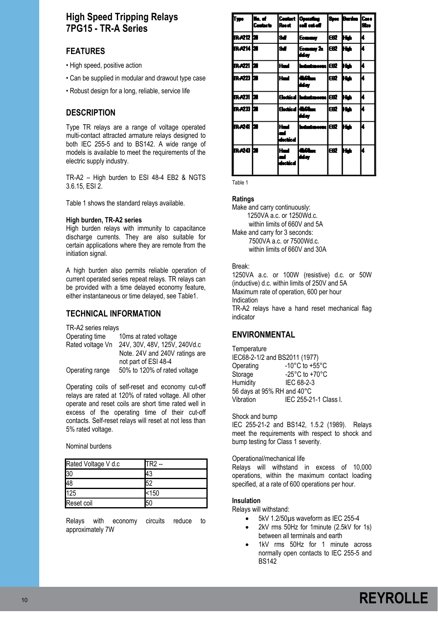# **High Speed Tripping Relays 7PG15 - TR-A Series**

# **FEATURES**

- High speed, positive action
- Can be supplied in modular and drawout type case
- Robust design for a long, reliable, service life

# **DESCRIPTION**

Type TR relays are a range of voltage operated multi-contact attracted armature relays designed to both IEC 255-5 and to BS142. A wide range of models is available to meet the requirements of the electric supply industry.

TR-A2 – High burden to ESI 48-4 EB2 & NGTS 3.6.15, ESI 2.

Table 1 shows the standard relays available.

### **High burden, TR-A2 series**

High burden relays with immunity to capacitance discharge currents. They are also suitable for certain applications where they are remote from the initiation signal.

A high burden also permits reliable operation of current operated series repeat relays. TR relays can be provided with a time delayed economy feature, either instantaneous or time delayed, see Table1.

## **TECHNICAL INFORMATION**

TR-A2 series relays

| Operating time   | 10ms at rated voltage          |
|------------------|--------------------------------|
| Rated voltage Vn | 24V, 30V, 48V, 125V, 240Vd.c   |
|                  | Note. 24V and 240V ratings are |
|                  | not part of ESI 48-4           |
| Operating range  | 50% to 120% of rated voltage   |

Operating coils of self-reset and economy cut-off relays are rated at 120% of rated voltage. All other operate and reset coils are short time rated well in excess of the operating time of their cut-off contacts. Self-reset relays will reset at not less than 5% rated voltage.

Nominal burdens

| Rated Voltage V d.c | TR <sub>2</sub> |
|---------------------|-----------------|
| 30                  |                 |
| 48                  |                 |
| 125                 | < 150           |
| Reset coil          |                 |

Relays with economy circuits reduce to approximately 7W

| l۳                | lile, et i<br><b>Centerio</b> | Roost                 | Contact   Operating  <br>lcell cut-eff |       | <b>Spec Burden Case</b> | Sire |
|-------------------|-------------------------------|-----------------------|----------------------------------------|-------|-------------------------|------|
| 1RA212 (20        |                               | 9d                    | <b>Gommay</b>                          | œZ    | ю                       | k.   |
| n Azil bi         |                               | 94                    | Gommy 2c<br>dday                       | leet. | ш                       | k    |
| irazzi izo        |                               | Had                   | Industry and EER                       |       | ш                       | k    |
| IR AZZI DU        |                               | Had                   | ساقا<br>ddar                           | est.  | нa                      | k    |
| rach bh           |                               |                       | <b>Electrical Instructurescene</b>     | lest  | ю                       | k    |
| IRAZ33 <b>ize</b> |                               | بأليفيه               | 161.<br>dday                           | est.  | н.                      | k    |
| ir va bi          |                               | Had<br>÷<br>dectrical | Industraceae IEBZ                      |       | ш                       | ı    |
| ir Adol bil       |                               | Had<br>٣ł<br>dectical | سلافة<br>بجأنة                         | æ     | kм                      | u    |

Table 1

### **Ratings**

Make and carry continuously: 1250VA a.c. or 1250Wd.c. within limits of 660V and 5A Make and carry for 3 seconds: 7500VA a.c. or 7500Wd.c. within limits of 660V and 30A

### Break:

1250VA a.c. or 100W (resistive) d.c. or 50W (inductive) d.c. within limits of 250V and 5A Maximum rate of operation, 600 per hour Indication TR-A2 relays have a hand reset mechanical flag indicator

# **ENVIRONMENTAL**

| Temperature                   |                                      |
|-------------------------------|--------------------------------------|
| IEC68-2-1/2 and BS2011 (1977) |                                      |
| Operating                     | -10°C to +55°C                       |
| Storage                       | -25 $^{\circ}$ C to +70 $^{\circ}$ C |
| Humidity                      | IEC 68-2-3                           |
| 56 days at 95% RH and 40°C    |                                      |
| Vibration                     | IEC 255-21-1 Class I.                |

### Shock and bump

IEC 255-21-2 and BS142, 1.5.2 (1989). Relays meet the requirements with respect to shock and bump testing for Class 1 severity.

### Operational/mechanical life

Relays will withstand in excess of 10,000 operations, within the maximum contact loading specified, at a rate of 600 operations per hour.

### **Insulation**

Relays will withstand:

- 5kV 1.2/50µs waveform as IEC 255-4
- 2kV rms 50Hz for 1minute (2.5kV for 1s) between all terminals and earth
- 1kV rms 50Hz for 1 minute across normally open contacts to IEC 255-5 and BS142

# **REYROLLE**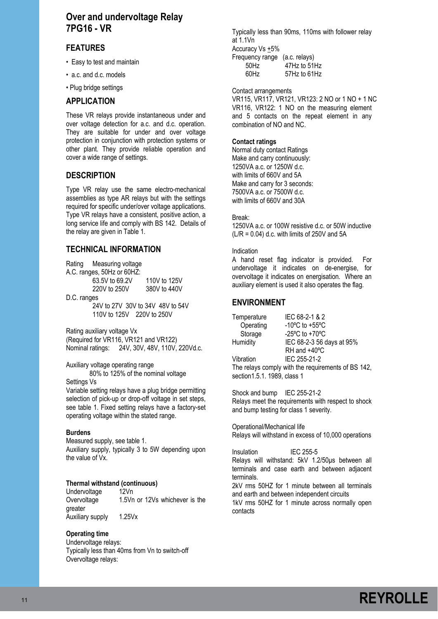# **Over and undervoltage Relay 7PG16 - VR**

# **FEATURES**

- Easy to test and maintain
- a.c. and d.c. models
- Plug bridge settings

## **APPLICATION**

These VR relays provide instantaneous under and over voltage detection for a.c. and d.c. operation. They are suitable for under and over voltage protection in conjunction with protection systems or other plant. They provide reliable operation and cover a wide range of settings.

# **DESCRIPTION**

Type VR relay use the same electro-mechanical assemblies as type AR relays but with the settings required for specific under/over voltage applications. Type VR relays have a consistent, positive action, a long service life and comply with BS 142. Details of the relay are given in Table 1.

# **TECHNICAL INFORMATION**

|             | Rating Measuring voltage         |              |
|-------------|----------------------------------|--------------|
|             | A.C. ranges, 50Hz or 60HZ:       |              |
|             | 63.5V to 69.2V                   | 110V to 125V |
|             | 220V to 250V                     | 380V to 440V |
| D.C. ranges |                                  |              |
|             | 24V to 27V 30V to 34V 48V to 54V |              |
|             | 110V to 125V 220V to 250V        |              |

Rating auxiliary voltage Vx (Required for VR116, VR121 and VR122) Nominal ratings: 24V, 30V, 48V, 110V, 220Vd.c.

Auxiliary voltage operating range 80% to 125% of the nominal voltage

Settings Vs

Variable setting relays have a plug bridge permitting selection of pick-up or drop-off voltage in set steps, see table 1. Fixed setting relays have a factory-set operating voltage within the stated range.

### **Burdens**

Measured supply, see table 1. Auxiliary supply, typically 3 to 5W depending upon the value of Vx.

### **Thermal withstand (continuous)**

Undervoltage 12Vn Overvoltage 1.5Vn or 12Vs whichever is the greater Auxiliary supply 1.25Vx

### **Operating time**

Undervoltage relays: Typically less than 40ms from Vn to switch-off Overvoltage relays:

Typically less than 90ms, 110ms with follower relay at 1.1Vn Accuracy Vs +5% Frequency range (a.c. relays) 50Hz 47Hz to 51Hz 60Hz 57Hz to 61Hz

Contact arrangements

VR115, VR117, VR121, VR123: 2 NO or 1 NO + 1 NC VR116, VR122: 1 NO on the measuring element and 5 contacts on the repeat element in any combination of NO and NC.

### **Contact ratings**

Normal duty contact Ratings Make and carry continuously: 1250VA a.c. or 1250W d.c. with limits of 660V and 5A Make and carry for 3 seconds: 7500VA a.c. or 7500W d.c. with limits of 660V and 30A

### Break:

1250VA a.c. or 100W resistive d.c. or 50W inductive  $(L/R = 0.04)$  d.c. with limits of 250V and 5A

### Indication

A hand reset flag indicator is provided. For undervoltage it indicates on de-energise, for overvoltage it indicates on energisation. Where an auxiliary element is used it also operates the flag.

# **ENVIRONMENT**

| Temperature | IEC 68-2-1 & 2                                       |
|-------------|------------------------------------------------------|
| Operating   | -10 $\degree$ C to +55 $\degree$ C                   |
| Storage     | -25 $\mathrm{^{\circ}C}$ to +70 $\mathrm{^{\circ}C}$ |
| Humidity    | IEC 68-2-3 56 days at 95%                            |
|             | RH and +40°C                                         |
| Vibration   | IEC 255-21-2                                         |
|             |                                                      |

The relays comply with the requirements of BS 142, section1.5.1. 1989, class 1

Shock and bump IEC 255-21-2 Relays meet the requirements with respect to shock and bump testing for class 1 severity.

Operational/Mechanical life Relays will withstand in excess of 10,000 operations

Insulation IEC 255-5 Relays will withstand: 5kV 1.2/50μs between all terminals and case earth and between adjacent terminals. 2kV rms 50HZ for 1 minute between all terminals and earth and between independent circuits

1kV rms 50HZ for 1 minute across normally open contacts

# **REYROLLE**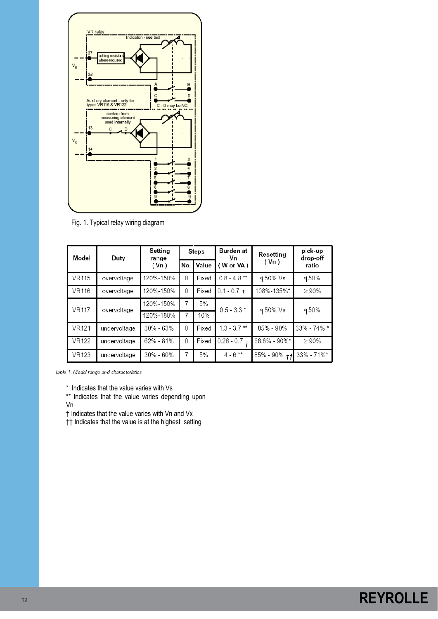

Fig. 1. Typical relay wiring diagram

| Model<br>Duty |              | Setting<br>range | <b>Steps</b> |       | Burden at<br>Vn | Resettina         | pick-up<br>drop-off |  |
|---------------|--------------|------------------|--------------|-------|-----------------|-------------------|---------------------|--|
|               |              | (Vn)             | No.          | Value | (Wor VA)        | (Vn)              | ratio               |  |
| <b>VR115</b>  | overvoltage  | 120%-150%        | $\Omega$     | Fixed | $0.8 - 4.8$ **  | ∢50% Vs           | ⊲50%                |  |
| <b>VR116</b>  | overvoltage  | 120%-150%        | $\theta$     | Fixed | $0.1 - 0.7 +$   | 108%-135%*        | $\geq 90\%$         |  |
| <b>VR117</b>  | overvoltage  | 120%-150%        | 7            | 5%    | $0.5 - 3.3*$    | 450% Vs           | 450%                |  |
|               |              | 120%-180%        | 7            | 10%   |                 |                   |                     |  |
| <b>VR121</b>  | undervoltage | 30% - 63%        | $\Omega$     | Fixed | $1.3 - 3.7$ **  | 85% - 90%         | 33% - 74% *         |  |
| <b>VR122</b>  | undervoltage | 62% - 81%        | $\Omega$     | Fixed | $0.26 - 0.7$    | 68.8% - 90%*      | $\geq 90\%$         |  |
| <b>VR123</b>  | undervoltage | 30% - 60%        | 7            | 5%    | $4 - 6$ **      | $85\% - 90\% + f$ | 33% - 71%*          |  |

Table 1. Model range and characteristics

\* Indicates that the value varies with Vs

\*\* Indicates that the value varies depending upon Vn

† Indicates that the value varies with Vn and Vx

†† Indicates that the value is at the highest setting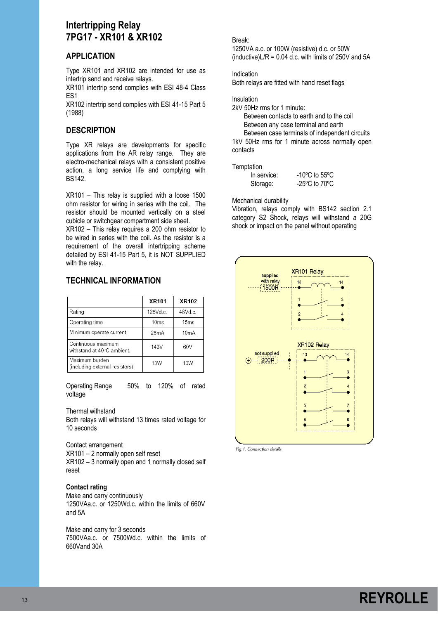# **Intertripping Relay 7PG17 - XR101 & XR102**

# **APPLICATION**

Type XR101 and XR102 are intended for use as intertrip send and receive relays.

XR101 intertrip send complies with ESI 48-4 Class ES1

XR102 intertrip send complies with ESI 41-15 Part 5 (1988)

# **DESCRIPTION**

Type XR relays are developments for specific applications from the AR relay range. They are electro-mechanical relays with a consistent positive action, a long service life and complying with BS142.

XR101 – This relay is supplied with a loose 1500 ohm resistor for wiring in series with the coil. The resistor should be mounted vertically on a steel cubicle or switchgear compartment side sheet.

XR102 – This relay requires a 200 ohm resistor to be wired in series with the coil. As the resistor is a requirement of the overall intertripping scheme detailed by ESI 41-15 Part 5, it is NOT SUPPLIED with the relay.

# **TECHNICAL INFORMATION**

|                                                  | <b>XR101</b> | XR102   |
|--------------------------------------------------|--------------|---------|
| Rating                                           | 125Vd.c.     | 48Vd.c. |
| Operating time                                   | 10ms         | 15ms    |
| Minimum operate current                          | 25mA         | 10mA    |
| Continuous maximum<br>withstand at 40°C ambient. | 143V         | 60V     |
| Maximum burden<br>(including external resistors) | 13W          | 10W     |

Operating Range 50% to 120% of rated voltage

### Thermal withstand

Both relays will withstand 13 times rated voltage for 10 seconds

Contact arrangement XR101 – 2 normally open self reset XR102 – 3 normally open and 1 normally closed self reset

### **Contact rating**

Make and carry continuously 1250VAa.c. or 1250Wd.c. within the limits of 660V and 5A

Make and carry for 3 seconds 7500VAa.c. or 7500Wd.c. within the limits of 660Vand 30A

### Break:

1250VA a.c. or 100W (resistive) d.c. or 50W (inductive) $L/R = 0.04$  d.c. with limits of 250V and 5A

Indication

Both relays are fitted with hand reset flags

Insulation

2kV 50Hz rms for 1 minute:

 Between contacts to earth and to the coil Between any case terminal and earth Between case terminals of independent circuits

1kV 50Hz rms for 1 minute across normally open contacts

### **Temptation**

| In service: | $-10^{\circ}$ C to 55 $^{\circ}$ C |
|-------------|------------------------------------|
| Storage:    | $-25^{\circ}$ C to 70 $^{\circ}$ C |

Mechanical durability

Vibration, relays comply with BS142 section 2.1 category S2 Shock, relays will withstand a 20G shock or impact on the panel without operating



Fig.1. Connection details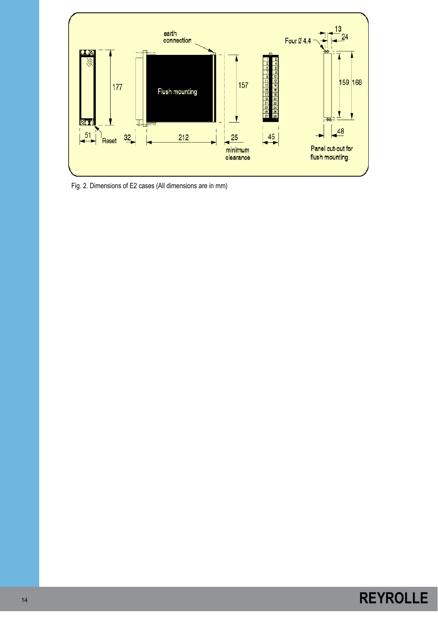

Fig. 2. Dimensions of E2 cases (All dimensions are in mm)

# **REYROLLE**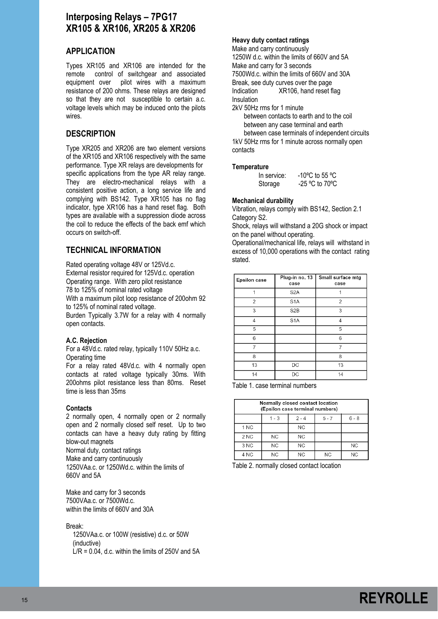# **Interposing Relays – 7PG17 XR105 & XR106, XR205 & XR206**

# **APPLICATION**

Types XR105 and XR106 are intended for the remote control of switchgear and associated equipment over pilot wires with a maximum resistance of 200 ohms. These relays are designed so that they are not susceptible to certain a.c. voltage levels which may be induced onto the pilots wires.

### **DESCRIPTION**

Type XR205 and XR206 are two element versions of the XR105 and XR106 respectively with the same performance. Type XR relays are developments for specific applications from the type AR relay range. They are electro-mechanical relays with a consistent positive action, a long service life and complying with BS142. Type XR105 has no flag indicator, type XR106 has a hand reset flag. Both types are available with a suppression diode across the coil to reduce the effects of the back emf which occurs on switch-off.

# **TECHNICAL INFORMATION**

Rated operating voltage 48V or 125Vd.c. External resistor required for 125Vd.c. operation Operating range. With zero pilot resistance 78 to 125% of nominal rated voltage

With a maximum pilot loop resistance of 200ohm 92 to 125% of nominal rated voltage.

Burden Typically 3.7W for a relay with 4 normally open contacts.

### **A.C. Rejection**

For a 48Vd.c. rated relay, typically 110V 50Hz a.c. Operating time

For a relay rated 48Vd.c. with 4 normally open contacts at rated voltage typically 30ms. With 200ohms pilot resistance less than 80ms. Reset time is less than 35ms

### **Contacts**

2 normally open, 4 normally open or 2 normally open and 2 normally closed self reset. Up to two contacts can have a heavy duty rating by fitting blow-out magnets Normal duty, contact ratings Make and carry continuously 1250VAa.c. or 1250Wd.c. within the limits of 660V and 5A

Make and carry for 3 seconds 7500VAa.c. or 7500Wd.c. within the limits of 660V and 30A

#### Break:

 1250VAa.c. or 100W (resistive) d.c. or 50W (inductive)  $\dot{\text{L}}$ /R = 0.04, d.c. within the limits of 250V and 5A

### **Heavy duty contact ratings**

Make and carry continuously 1250W d.c. within the limits of 660V and 5A Make and carry for 3 seconds 7500Wd.c. within the limits of 660V and 30A Break, see duty curves over the page Indication XR106, hand reset flag Insulation

2kV 50Hz rms for 1 minute

 between contacts to earth and to the coil between any case terminal and earth between case terminals of independent circuits 1kV 50Hz rms for 1 minute across normally open contacts

#### **Temperature**

| In service: | -10°C to 55 °C   |
|-------------|------------------|
| Storage     | $-25$ °C to 70°C |

#### **Mechanical durability**

Vibration, relays comply with BS142, Section 2.1 Category S2.

Shock, relays will withstand a 20G shock or impact on the panel without operating.

Operational/mechanical life, relays will withstand in excess of 10,000 operations with the contact rating stated.

| <b>Epsilon case</b> | Plug-in no. 13<br>case | Small surface mtg<br>case |
|---------------------|------------------------|---------------------------|
|                     | S <sub>2</sub> A       |                           |
| 2                   | S <sub>1</sub> A       | 2                         |
| 3                   | S <sub>2</sub> B       | 3                         |
| 4                   | S <sub>1</sub> A       | 4                         |
| 5                   |                        | 5                         |
| 6                   |                        | 6                         |
| 7                   |                        | 7                         |
| 8                   |                        | 8                         |
| 13                  | DC                     | 13                        |
| 14                  | DC                     | 14                        |

Table 1. case terminal numbers

| Normally closed contact location<br>(Epsilon case terminal numbers) |                                          |    |           |           |  |
|---------------------------------------------------------------------|------------------------------------------|----|-----------|-----------|--|
|                                                                     | $6 - 8$<br>$1 - 3$<br>$2 - 4$<br>$5 - 7$ |    |           |           |  |
| 1 NC                                                                |                                          | NС |           |           |  |
| 2 <sub>NC</sub>                                                     | <b>NC</b>                                | NС |           |           |  |
| 3 NC                                                                | <b>NC</b>                                | NС |           | <b>NC</b> |  |
| 4 NC                                                                | ΝC                                       | NC | <b>NC</b> | <b>NC</b> |  |

Table 2. normally closed contact location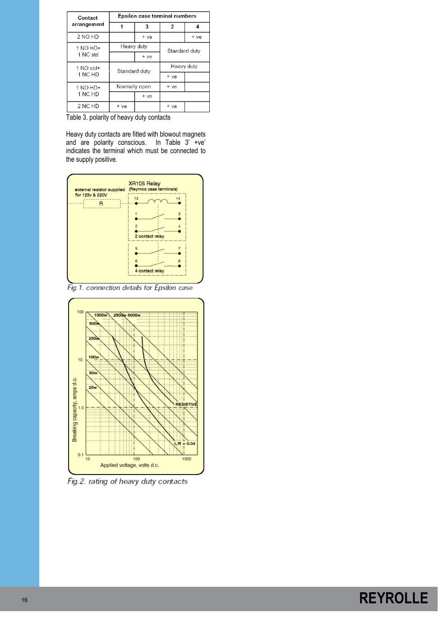| Contact     | Epsilon case terminal numbers |      |               |      |
|-------------|-------------------------------|------|---------------|------|
| arrangement |                               | 3    | 2             | 4    |
| 2 NO HD     |                               | + ve |               | + ve |
| $1$ NO HD+  | Heavy duty                    |      | Standard duty |      |
| 1 NC std    |                               | + ve |               |      |
| 1 NO std+   | Standard duty                 |      | Heavy duty    |      |
| 1 NC HD     |                               |      | + ve          |      |
| $1$ NO HD+  | Normally open                 |      | + ve          |      |
| 1 NC HD     |                               | + ve |               |      |
| 2 NC HD     | + ve                          |      | + ve          |      |

Table 3. polarity of heavy duty contacts

Heavy duty contacts are fitted with blowout magnets and are polarity conscious. In Table 3' +ve' indicates the terminal which must be connected to the supply positive.



Fig.1. connection details for Epsilon case



Fig.2. rating of heavy duty contacts